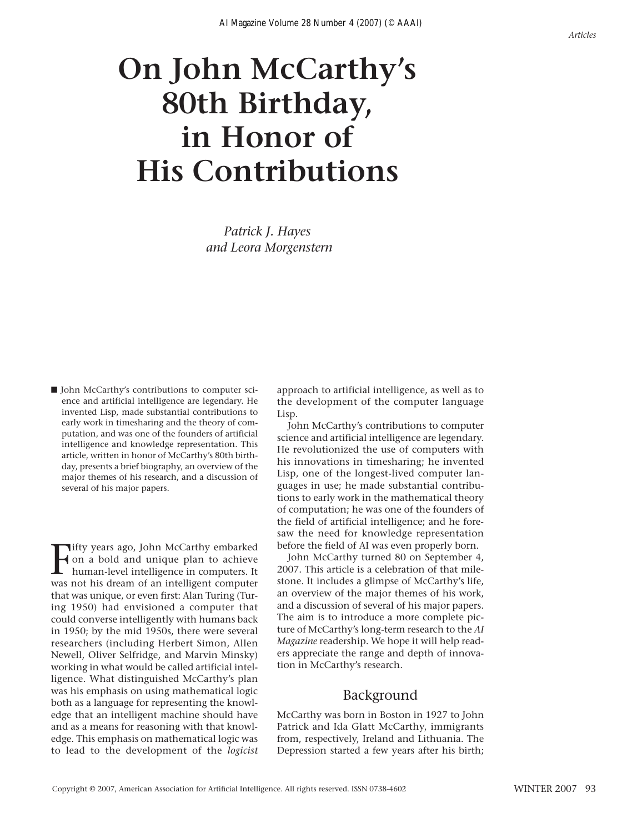# **On John McCarthy's 80th Birthday, in Honor of His Contributions**

*Patrick J. Hayes and Leora Morgenstern*

■ John McCarthy's contributions to computer science and artificial intelligence are legendary. He invented Lisp, made substantial contributions to early work in timesharing and the theory of computation, and was one of the founders of artificial intelligence and knowledge representation. This article, written in honor of McCarthy's 80th birthday, presents a brief biography, an overview of the major themes of his research, and a discussion of several of his major papers.

**F** ifty years ago, John McCarthy embarked<br>
intelligence in computers. It<br>
was not his dream of an intelligent computers **Tifty years ago, John McCarthy embarked** on a bold and unique plan to achieve was not his dream of an intelligent computer that was unique, or even first: Alan Turing (Turing 1950) had envisioned a computer that could converse intelligently with humans back in 1950; by the mid 1950s, there were several researchers (including Herbert Simon, Allen Newell, Oliver Selfridge, and Marvin Minsky) working in what would be called artificial intelligence. What distinguished McCarthy's plan was his emphasis on using mathematical logic both as a language for representing the knowledge that an intelligent machine should have and as a means for reasoning with that knowledge. This emphasis on mathematical logic was to lead to the development of the *logicist* approach to artificial intelligence, as well as to the development of the computer language Lisp.

John McCarthy's contributions to computer science and artificial intelligence are legendary. He revolutionized the use of computers with his innovations in timesharing; he invented Lisp, one of the longest-lived computer languages in use; he made substantial contributions to early work in the mathematical theory of computation; he was one of the founders of the field of artificial intelligence; and he foresaw the need for knowledge representation before the field of AI was even properly born.

John McCarthy turned 80 on September 4, 2007. This article is a celebration of that milestone. It includes a glimpse of McCarthy's life, an overview of the major themes of his work, and a discussion of several of his major papers. The aim is to introduce a more complete picture of McCarthy's long-term research to the *AI Magazine* readership. We hope it will help readers appreciate the range and depth of innovation in McCarthy's research.

## Background

McCarthy was born in Boston in 1927 to John Patrick and Ida Glatt McCarthy, immigrants from, respectively, Ireland and Lithuania. The Depression started a few years after his birth;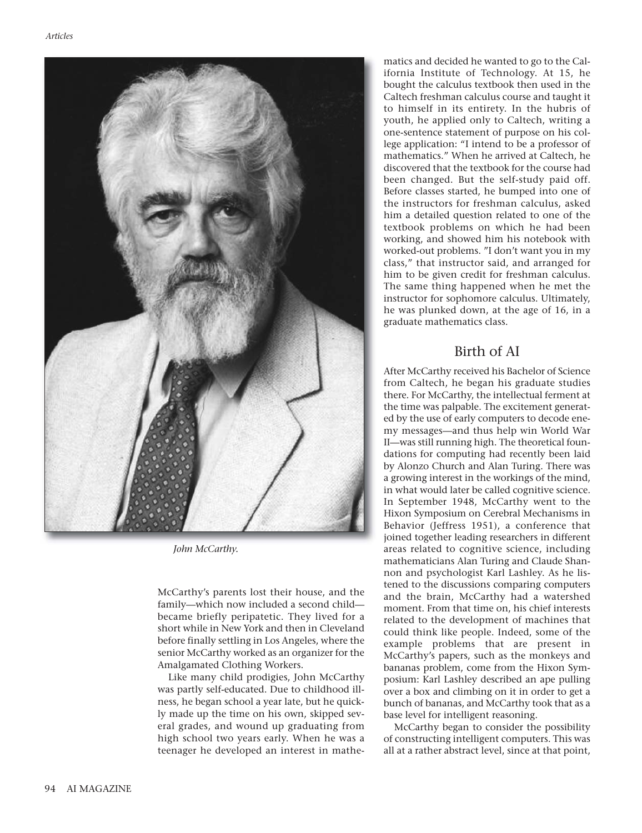

*John McCarthy.* 

McCarthy's parents lost their house, and the family—which now included a second child became briefly peripatetic. They lived for a short while in New York and then in Cleveland before finally settling in Los Angeles, where the senior McCarthy worked as an organizer for the Amalgamated Clothing Workers.

Like many child prodigies, John McCarthy was partly self-educated. Due to childhood illness, he began school a year late, but he quickly made up the time on his own, skipped several grades, and wound up graduating from high school two years early. When he was a teenager he developed an interest in mathe-

matics and decided he wanted to go to the California Institute of Technology. At 15, he bought the calculus textbook then used in the Caltech freshman calculus course and taught it to himself in its entirety. In the hubris of youth, he applied only to Caltech, writing a one-sentence statement of purpose on his college application: "I intend to be a professor of mathematics." When he arrived at Caltech, he discovered that the textbook for the course had been changed. But the self-study paid off. Before classes started, he bumped into one of the instructors for freshman calculus, asked him a detailed question related to one of the textbook problems on which he had been working, and showed him his notebook with worked-out problems. "I don't want you in my class," that instructor said, and arranged for him to be given credit for freshman calculus. The same thing happened when he met the instructor for sophomore calculus. Ultimately, he was plunked down, at the age of 16, in a graduate mathematics class.

# Birth of AI

After McCarthy received his Bachelor of Science from Caltech, he began his graduate studies there. For McCarthy, the intellectual ferment at the time was palpable. The excitement generated by the use of early computers to decode enemy messages—and thus help win World War II—was still running high. The theoretical foundations for computing had recently been laid by Alonzo Church and Alan Turing. There was a growing interest in the workings of the mind, in what would later be called cognitive science. In September 1948, McCarthy went to the Hixon Symposium on Cerebral Mechanisms in Behavior (Jeffress 1951), a conference that joined together leading researchers in different areas related to cognitive science, including mathematicians Alan Turing and Claude Shannon and psychologist Karl Lashley. As he listened to the discussions comparing computers and the brain, McCarthy had a watershed moment. From that time on, his chief interests related to the development of machines that could think like people. Indeed, some of the example problems that are present in McCarthy's papers, such as the monkeys and bananas problem, come from the Hixon Symposium: Karl Lashley described an ape pulling over a box and climbing on it in order to get a bunch of bananas, and McCarthy took that as a base level for intelligent reasoning.

McCarthy began to consider the possibility of constructing intelligent computers. This was all at a rather abstract level, since at that point,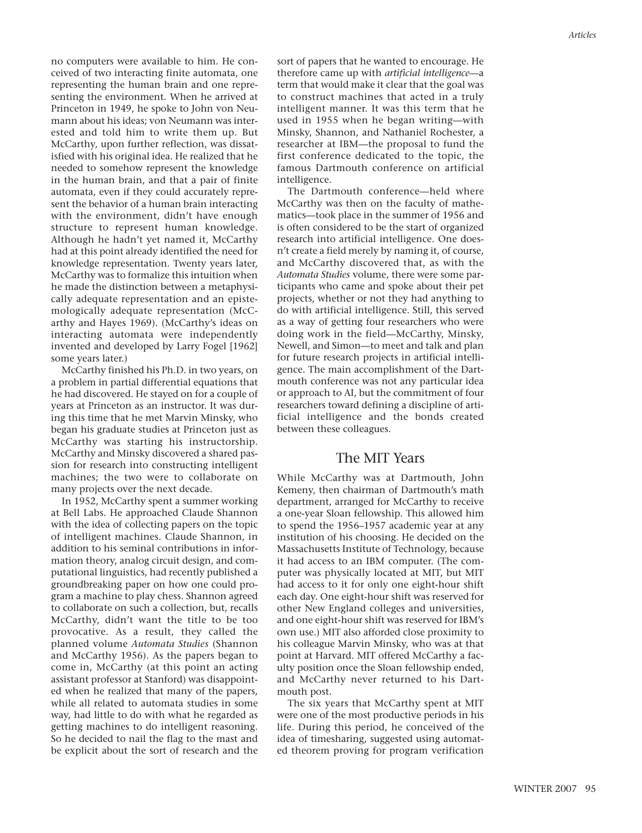no computers were available to him. He conceived of two interacting finite automata, one representing the human brain and one representing the environment. When he arrived at Princeton in 1949, he spoke to John von Neumann about his ideas; von Neumann was interested and told him to write them up. But McCarthy, upon further reflection, was dissatisfied with his original idea. He realized that he needed to somehow represent the knowledge in the human brain, and that a pair of finite automata, even if they could accurately represent the behavior of a human brain interacting with the environment, didn't have enough structure to represent human knowledge. Although he hadn't yet named it, McCarthy had at this point already identified the need for knowledge representation. Twenty years later, McCarthy was to formalize this intuition when he made the distinction between a metaphysically adequate representation and an epistemologically adequate representation (McCarthy and Hayes 1969). (McCarthy's ideas on interacting automata were independently invented and developed by Larry Fogel [1962] some years later.)

McCarthy finished his Ph.D. in two years, on a problem in partial differential equations that he had discovered. He stayed on for a couple of years at Princeton as an instructor. It was during this time that he met Marvin Minsky, who began his graduate studies at Princeton just as McCarthy was starting his instructorship. McCarthy and Minsky discovered a shared passion for research into constructing intelligent machines; the two were to collaborate on many projects over the next decade.

In 1952, McCarthy spent a summer working at Bell Labs. He approached Claude Shannon with the idea of collecting papers on the topic of intelligent machines. Claude Shannon, in addition to his seminal contributions in information theory, analog circuit design, and computational linguistics, had recently published a groundbreaking paper on how one could program a machine to play chess. Shannon agreed to collaborate on such a collection, but, recalls McCarthy, didn't want the title to be too provocative. As a result, they called the planned volume *Automata Studies* (Shannon and McCarthy 1956). As the papers began to come in, McCarthy (at this point an acting assistant professor at Stanford) was disappointed when he realized that many of the papers, while all related to automata studies in some way, had little to do with what he regarded as getting machines to do intelligent reasoning. So he decided to nail the flag to the mast and be explicit about the sort of research and the sort of papers that he wanted to encourage. He therefore came up with *artificial intelligence*—a term that would make it clear that the goal was to construct machines that acted in a truly intelligent manner. It was this term that he used in 1955 when he began writing—with Minsky, Shannon, and Nathaniel Rochester, a researcher at IBM—the proposal to fund the first conference dedicated to the topic, the famous Dartmouth conference on artificial intelligence.

The Dartmouth conference—held where McCarthy was then on the faculty of mathematics—took place in the summer of 1956 and is often considered to be the start of organized research into artificial intelligence. One doesn't create a field merely by naming it, of course, and McCarthy discovered that, as with the *Automata Studies* volume, there were some participants who came and spoke about their pet projects, whether or not they had anything to do with artificial intelligence. Still, this served as a way of getting four researchers who were doing work in the field—McCarthy, Minsky, Newell, and Simon—to meet and talk and plan for future research projects in artificial intelligence. The main accomplishment of the Dartmouth conference was not any particular idea or approach to AI, but the commitment of four researchers toward defining a discipline of artificial intelligence and the bonds created between these colleagues.

## The MIT Years

While McCarthy was at Dartmouth, John Kemeny, then chairman of Dartmouth's math department, arranged for McCarthy to receive a one-year Sloan fellowship. This allowed him to spend the 1956–1957 academic year at any institution of his choosing. He decided on the Massachusetts Institute of Technology, because it had access to an IBM computer. (The computer was physically located at MIT, but MIT had access to it for only one eight-hour shift each day. One eight-hour shift was reserved for other New England colleges and universities, and one eight-hour shift was reserved for IBM's own use.) MIT also afforded close proximity to his colleague Marvin Minsky, who was at that point at Harvard. MIT offered McCarthy a faculty position once the Sloan fellowship ended, and McCarthy never returned to his Dartmouth post.

The six years that McCarthy spent at MIT were one of the most productive periods in his life. During this period, he conceived of the idea of timesharing, suggested using automated theorem proving for program verification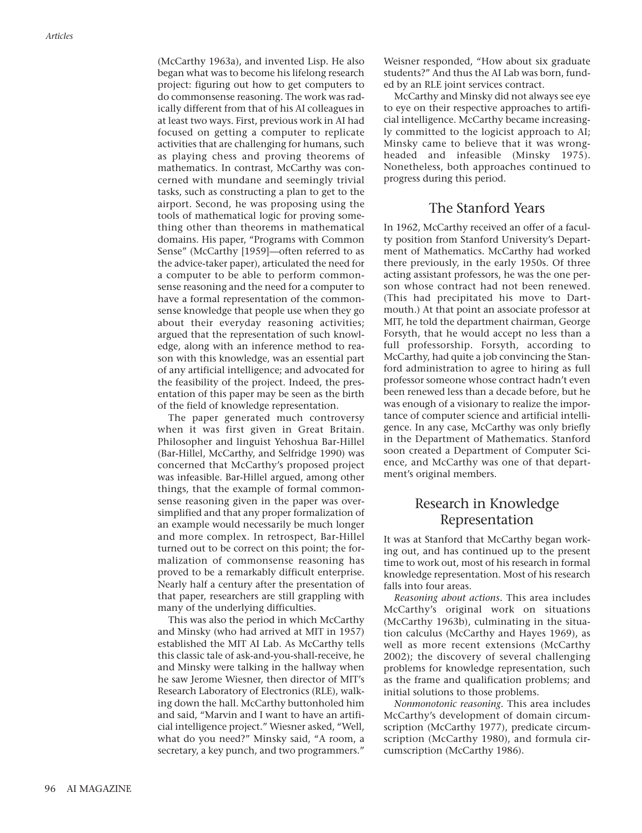(McCarthy 1963a), and invented Lisp. He also began what was to become his lifelong research project: figuring out how to get computers to do commonsense reasoning. The work was radically different from that of his AI colleagues in at least two ways. First, previous work in AI had focused on getting a computer to replicate activities that are challenging for humans, such as playing chess and proving theorems of mathematics. In contrast, McCarthy was concerned with mundane and seemingly trivial tasks, such as constructing a plan to get to the airport. Second, he was proposing using the tools of mathematical logic for proving something other than theorems in mathematical domains. His paper, "Programs with Common Sense" (McCarthy [1959]—often referred to as the advice-taker paper), articulated the need for a computer to be able to perform commonsense reasoning and the need for a computer to have a formal representation of the commonsense knowledge that people use when they go about their everyday reasoning activities; argued that the representation of such knowledge, along with an inference method to reason with this knowledge, was an essential part of any artificial intelligence; and advocated for the feasibility of the project. Indeed, the presentation of this paper may be seen as the birth of the field of knowledge representation.

The paper generated much controversy when it was first given in Great Britain. Philosopher and linguist Yehoshua Bar-Hillel (Bar-Hillel, McCarthy, and Selfridge 1990) was concerned that McCarthy's proposed project was infeasible. Bar-Hillel argued, among other things, that the example of formal commonsense reasoning given in the paper was oversimplified and that any proper formalization of an example would necessarily be much longer and more complex. In retrospect, Bar-Hillel turned out to be correct on this point; the formalization of commonsense reasoning has proved to be a remarkably difficult enterprise. Nearly half a century after the presentation of that paper, researchers are still grappling with many of the underlying difficulties.

This was also the period in which McCarthy and Minsky (who had arrived at MIT in 1957) established the MIT AI Lab. As McCarthy tells this classic tale of ask-and-you-shall-receive, he and Minsky were talking in the hallway when he saw Jerome Wiesner, then director of MIT's Research Laboratory of Electronics (RLE), walking down the hall. McCarthy buttonholed him and said, "Marvin and I want to have an artificial intelligence project." Wiesner asked, "Well, what do you need?" Minsky said, "A room, a secretary, a key punch, and two programmers."

Weisner responded, "How about six graduate students?" And thus the AI Lab was born, funded by an RLE joint services contract.

McCarthy and Minsky did not always see eye to eye on their respective approaches to artificial intelligence. McCarthy became increasingly committed to the logicist approach to AI; Minsky came to believe that it was wrongheaded and infeasible (Minsky 1975). Nonetheless, both approaches continued to progress during this period.

## The Stanford Years

In 1962, McCarthy received an offer of a faculty position from Stanford University's Department of Mathematics. McCarthy had worked there previously, in the early 1950s. Of three acting assistant professors, he was the one person whose contract had not been renewed. (This had precipitated his move to Dartmouth.) At that point an associate professor at MIT, he told the department chairman, George Forsyth, that he would accept no less than a full professorship. Forsyth, according to McCarthy, had quite a job convincing the Stanford administration to agree to hiring as full professor someone whose contract hadn't even been renewed less than a decade before, but he was enough of a visionary to realize the importance of computer science and artificial intelligence. In any case, McCarthy was only briefly in the Department of Mathematics. Stanford soon created a Department of Computer Science, and McCarthy was one of that department's original members.

## Research in Knowledge Representation

It was at Stanford that McCarthy began working out, and has continued up to the present time to work out, most of his research in formal knowledge representation. Most of his research falls into four areas.

*Reasoning about actions.* This area includes McCarthy's original work on situations (McCarthy 1963b), culminating in the situation calculus (McCarthy and Hayes 1969), as well as more recent extensions (McCarthy 2002); the discovery of several challenging problems for knowledge representation, such as the frame and qualification problems; and initial solutions to those problems.

*Nonmonotonic reasoning.* This area includes McCarthy's development of domain circumscription (McCarthy 1977), predicate circumscription (McCarthy 1980), and formula circumscription (McCarthy 1986).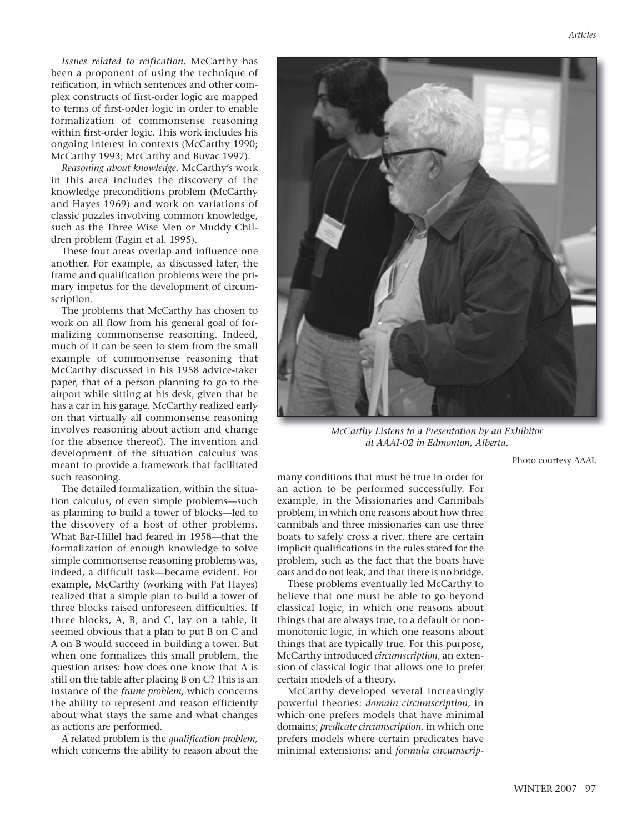*Issues related to reification.* McCarthy has been a proponent of using the technique of reification, in which sentences and other complex constructs of first-order logic are mapped to terms of first-order logic in order to enable formalization of commonsense reasoning within first-order logic. This work includes his ongoing interest in contexts (McCarthy 1990; McCarthy 1993; McCarthy and Buvac 1997).

*Reasoning about knowledge.* McCarthy's work in this area includes the discovery of the knowledge preconditions problem (McCarthy and Hayes 1969) and work on variations of classic puzzles involving common knowledge, such as the Three Wise Men or Muddy Children problem (Fagin et al. 1995).

These four areas overlap and influence one another. For example, as discussed later, the frame and qualification problems were the primary impetus for the development of circumscription.

The problems that McCarthy has chosen to work on all flow from his general goal of formalizing commonsense reasoning. Indeed, much of it can be seen to stem from the small example of commonsense reasoning that McCarthy discussed in his 1958 advice-taker paper, that of a person planning to go to the airport while sitting at his desk, given that he has a car in his garage. McCarthy realized early on that virtually all commonsense reasoning involves reasoning about action and change (or the absence thereof). The invention and development of the situation calculus was meant to provide a framework that facilitated such reasoning.

The detailed formalization, within the situation calculus, of even simple problems—such as planning to build a tower of blocks—led to the discovery of a host of other problems. What Bar-Hillel had feared in 1958—that the formalization of enough knowledge to solve simple commonsense reasoning problems was, indeed, a difficult task—became evident. For example, McCarthy (working with Pat Hayes) realized that a simple plan to build a tower of three blocks raised unforeseen difficulties. If three blocks, A, B, and C, lay on a table, it seemed obvious that a plan to put B on C and A on B would succeed in building a tower. But when one formalizes this small problem, the question arises: how does one know that A is still on the table after placing B on C? This is an instance of the *frame problem,* which concerns the ability to represent and reason efficiently about what stays the same and what changes as actions are performed.

A related problem is the *qualification problem,* which concerns the ability to reason about the



*McCarthy Listens to a Presentation by an Exhibitor at AAAI-02 in Edmonton, Alberta.*

Photo courtesy AAAI.

many conditions that must be true in order for an action to be performed successfully. For example, in the Missionaries and Cannibals problem, in which one reasons about how three cannibals and three missionaries can use three boats to safely cross a river, there are certain implicit qualifications in the rules stated for the problem, such as the fact that the boats have oars and do not leak, and that there is no bridge.

These problems eventually led McCarthy to believe that one must be able to go beyond classical logic, in which one reasons about things that are always true, to a default or nonmonotonic logic, in which one reasons about things that are typically true. For this purpose, McCarthy introduced *circumscription,* an extension of classical logic that allows one to prefer certain models of a theory.

McCarthy developed several increasingly powerful theories: *domain circumscription,* in which one prefers models that have minimal domains; *predicate circumscription,* in which one prefers models where certain predicates have minimal extensions; and *formula circumscrip-*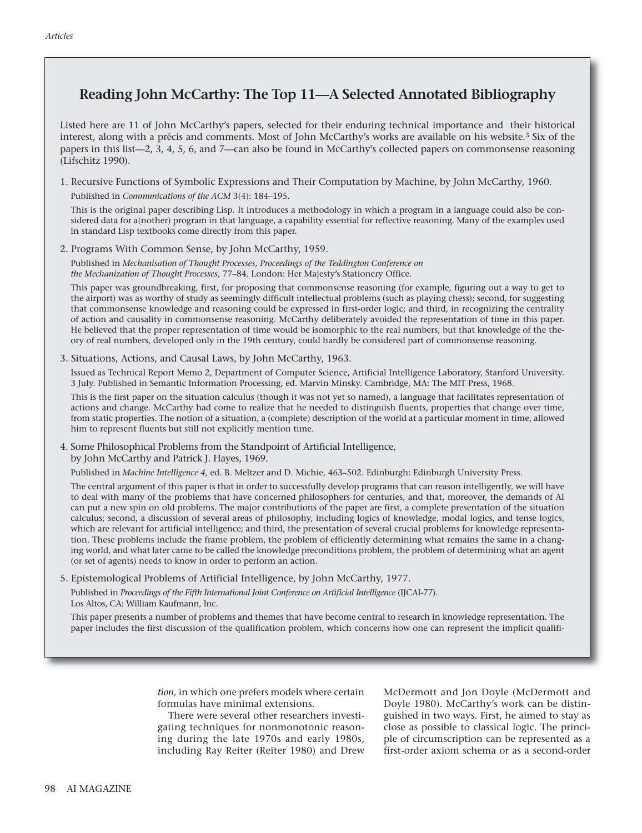# **Reading John McCarthy: The Top 11—A Selected Annotated Bibliography**

Listed here are 11 of John McCarthy's papers, selected for their enduring technical importance and their historical interest, along with a précis and comments. Most of John McCarthy's works are available on his website.<sup>3</sup> Six of the papers in this list—2, 3, 4, 5, 6, and 7—can also be found in McCarthy's collected papers on commonsense reasoning (Lifschitz 1990).

1. Recursive Functions of Symbolic Expressions and Their Computation by Machine, by John McCarthy, 1960. Published in *Communications of the ACM* 3(4): 184–195.

This is the original paper describing Lisp. It introduces a methodology in which a program in a language could also be considered data for a(nother) program in that language, a capability essential for reflective reasoning. Many of the examples used in standard Lisp textbooks come directly from this paper.

2. Programs With Common Sense, by John McCarthy, 1959.

Published in *Mechanisation of Thought Processes, Proceedings of the Teddington Conference on the Mechanization of Thought Processes,* 77–84. London: Her Majesty's Stationery Office.

This paper was groundbreaking, first, for proposing that commonsense reasoning (for example, figuring out a way to get to the airport) was as worthy of study as seemingly difficult intellectual problems (such as playing chess); second, for suggesting that commonsense knowledge and reasoning could be expressed in first-order logic; and third, in recognizing the centrality of action and causality in commonsense reasoning. McCarthy deliberately avoided the representation of time in this paper. He believed that the proper representation of time would be isomorphic to the real numbers, but that knowledge of the theory of real numbers, developed only in the 19th century, could hardly be considered part of commonsense reasoning.

3. Situations, Actions, and Causal Laws, by John McCarthy, 1963.

Issued as Technical Report Memo 2, Department of Computer Science, Artificial Intelligence Laboratory, Stanford University. 3 July. Published in Semantic Information Processing, ed. Marvin Minsky. Cambridge, MA: The MIT Press, 1968.

This is the first paper on the situation calculus (though it was not yet so named), a language that facilitates representation of actions and change. McCarthy had come to realize that he needed to distinguish fluents, properties that change over time, from static properties. The notion of a situation, a (complete) description of the world at a particular moment in time, allowed him to represent fluents but still not explicitly mention time.

4. Some Philosophical Problems from the Standpoint of Artificial Intelligence, by John McCarthy and Patrick J. Hayes, 1969.

Published in *Machine Intelligence 4,* ed. B. Meltzer and D. Michie, 463–502. Edinburgh: Edinburgh University Press.

The central argument of this paper is that in order to successfully develop programs that can reason intelligently, we will have to deal with many of the problems that have concerned philosophers for centuries, and that, moreover, the demands of AI can put a new spin on old problems. The major contributions of the paper are first, a complete presentation of the situation calculus; second, a discussion of several areas of philosophy, including logics of knowledge, modal logics, and tense logics, which are relevant for artificial intelligence; and third, the presentation of several crucial problems for knowledge representation. These problems include the frame problem, the problem of efficiently determining what remains the same in a changing world, and what later came to be called the knowledge preconditions problem, the problem of determining what an agent (or set of agents) needs to know in order to perform an action.

5. Epistemological Problems of Artificial Intelligence, by John McCarthy, 1977.

Published in *Proceedings of the Fifth International Joint Conference on Artificial Intelligence* (IJCAI-77). Los Altos, CA: William Kaufmann, Inc.

This paper presents a number of problems and themes that have become central to research in knowledge representation. The paper includes the first discussion of the qualification problem, which concerns how one can represent the implicit qualifi-

> *tion,* in which one prefers models where certain formulas have minimal extensions.

> There were several other researchers investigating techniques for nonmonotonic reasoning during the late 1970s and early 1980s, including Ray Reiter (Reiter 1980) and Drew

McDermott and Jon Doyle (McDermott and Doyle 1980). McCarthy's work can be distinguished in two ways. First, he aimed to stay as close as possible to classical logic. The principle of circumscription can be represented as a first-order axiom schema or as a second-order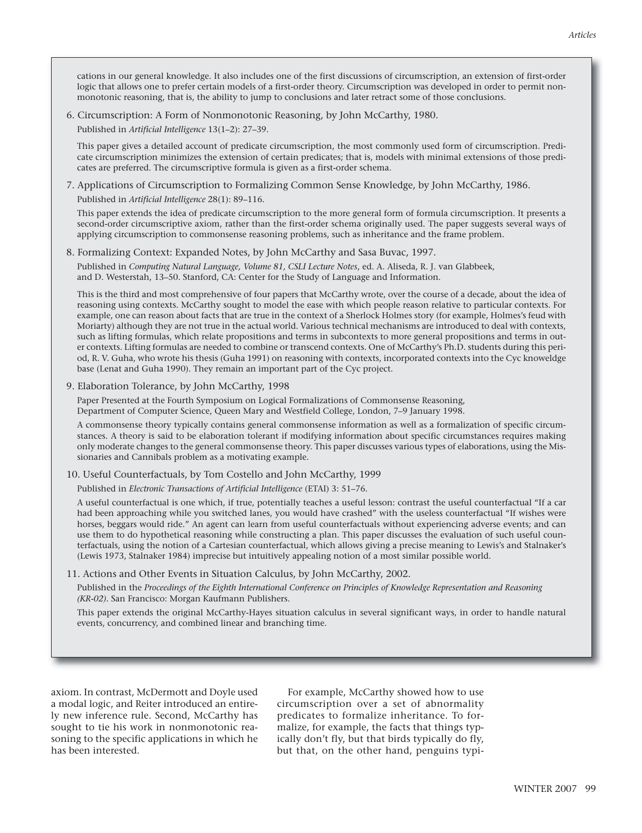cations in our general knowledge. It also includes one of the first discussions of circumscription, an extension of first-order logic that allows one to prefer certain models of a first-order theory. Circumscription was developed in order to permit nonmonotonic reasoning, that is, the ability to jump to conclusions and later retract some of those conclusions.

6. Circumscription: A Form of Nonmonotonic Reasoning, by John McCarthy, 1980.

Published in *Artificial Intelligence* 13(1–2): 27–39.

This paper gives a detailed account of predicate circumscription, the most commonly used form of circumscription. Predicate circumscription minimizes the extension of certain predicates; that is, models with minimal extensions of those predicates are preferred. The circumscriptive formula is given as a first-order schema.

7. Applications of Circumscription to Formalizing Common Sense Knowledge, by John McCarthy, 1986. Published in *Artificial Intelligence* 28(1): 89–116.

This paper extends the idea of predicate circumscription to the more general form of formula circumscription. It presents a second-order circumscriptive axiom, rather than the first-order schema originally used. The paper suggests several ways of applying circumscription to commonsense reasoning problems, such as inheritance and the frame problem.

8. Formalizing Context: Expanded Notes, by John McCarthy and Sasa Buvac, 1997.

Published in *Computing Natural Language, Volume 81, CSLI Lecture Notes*, ed. A. Aliseda, R. J. van Glabbeek, and D. Westerstah, 13–50. Stanford, CA: Center for the Study of Language and Information.

This is the third and most comprehensive of four papers that McCarthy wrote, over the course of a decade, about the idea of reasoning using contexts. McCarthy sought to model the ease with which people reason relative to particular contexts. For example, one can reason about facts that are true in the context of a Sherlock Holmes story (for example, Holmes's feud with Moriarty) although they are not true in the actual world. Various technical mechanisms are introduced to deal with contexts, such as lifting formulas, which relate propositions and terms in subcontexts to more general propositions and terms in outer contexts. Lifting formulas are needed to combine or transcend contexts. One of McCarthy's Ph.D. students during this period, R. V. Guha, who wrote his thesis (Guha 1991) on reasoning with contexts, incorporated contexts into the Cyc knoweldge base (Lenat and Guha 1990). They remain an important part of the Cyc project.

9. Elaboration Tolerance, by John McCarthy, 1998

Paper Presented at the Fourth Symposium on Logical Formalizations of Commonsense Reasoning, Department of Computer Science, Queen Mary and Westfield College, London, 7–9 January 1998.

A commonsense theory typically contains general commonsense information as well as a formalization of specific circumstances. A theory is said to be elaboration tolerant if modifying information about specific circumstances requires making only moderate changes to the general commonsense theory. This paper discusses various types of elaborations, using the Missionaries and Cannibals problem as a motivating example.

10. Useful Counterfactuals, by Tom Costello and John McCarthy, 1999

Published in *Electronic Transactions of Artificial Intelligence* (ETAI) 3: 51–76.

A useful counterfactual is one which, if true, potentially teaches a useful lesson: contrast the useful counterfactual "If a car had been approaching while you switched lanes, you would have crashed" with the useless counterfactual "If wishes were horses, beggars would ride." An agent can learn from useful counterfactuals without experiencing adverse events; and can use them to do hypothetical reasoning while constructing a plan. This paper discusses the evaluation of such useful counterfactuals, using the notion of a Cartesian counterfactual, which allows giving a precise meaning to Lewis's and Stalnaker's (Lewis 1973, Stalnaker 1984) imprecise but intuitively appealing notion of a most similar possible world.

11. Actions and Other Events in Situation Calculus, by John McCarthy, 2002.

Published in the *Proceedings of the Eighth International Conference on Principles of Knowledge Representation and Reasoning (KR-02).* San Francisco: Morgan Kaufmann Publishers.

This paper extends the original McCarthy-Hayes situation calculus in several significant ways, in order to handle natural events, concurrency, and combined linear and branching time.

axiom. In contrast, McDermott and Doyle used a modal logic, and Reiter introduced an entirely new inference rule. Second, McCarthy has sought to tie his work in nonmonotonic reasoning to the specific applications in which he has been interested.

For example, McCarthy showed how to use circumscription over a set of abnormality predicates to formalize inheritance. To formalize, for example, the facts that things typically don't fly, but that birds typically do fly, but that, on the other hand, penguins typi-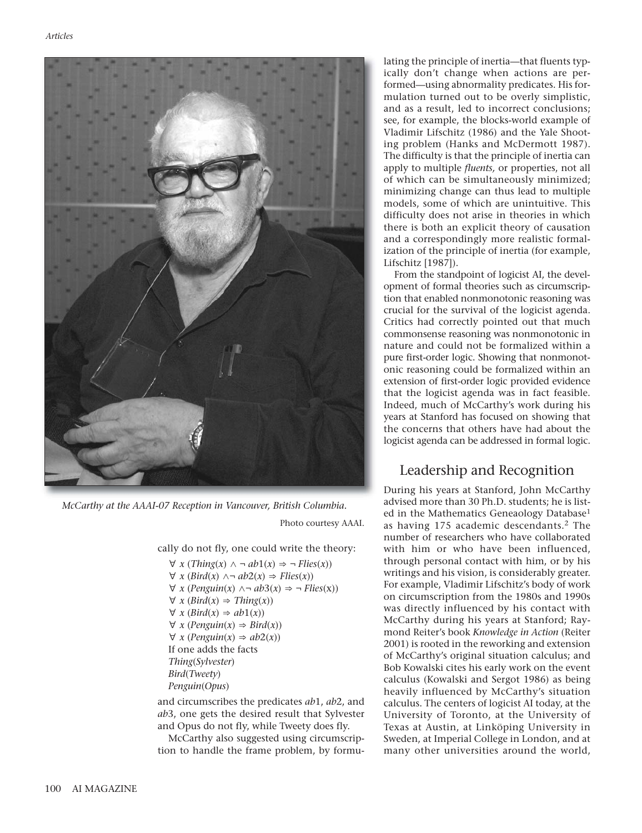

*McCarthy at the AAAI-07 Reception in Vancouver, British Columbia.*

Photo courtesy AAAI.

cally do not fly, one could write the theory:

∀ *x* (*Thing*(*x*) ∧ ¬ *ab*1(*x*) ⇒ ¬ *Flies*(*x*)) ∀ *x* (*Bird*(*x*) ∧¬ *ab*2(*x*) ⇒ *Flies*(*x*)) ∀ *x* (*Penguin*(*x*) ∧¬ *ab*3(*x*) ⇒ ¬ *Flies*(x)) ∀ *x* (*Bird*(*x*) ⇒ *Thing*(*x*)) ∀ *x* (*Bird*(*x*) ⇒ *ab*1(*x*)) ∀ *x* (*Penguin*(*x*) ⇒ *Bird*(*x*)) ∀ *x* (*Penguin*(*x*) ⇒ *ab*2(*x*)) If one adds the facts *Thing*(*Sylvester*) *Bird*(*Tweety*) *Penguin*(*Opus*)

and circumscribes the predicates *ab*1, *ab*2, and *ab*3, one gets the desired result that Sylvester and Opus do not fly, while Tweety does fly.

McCarthy also suggested using circumscription to handle the frame problem, by formulating the principle of inertia—that fluents typically don't change when actions are performed—using abnormality predicates. His formulation turned out to be overly simplistic, and as a result, led to incorrect conclusions; see, for example, the blocks-world example of Vladimir Lifschitz (1986) and the Yale Shooting problem (Hanks and McDermott 1987). The difficulty is that the principle of inertia can apply to multiple *fluents,* or properties, not all of which can be simultaneously minimized; minimizing change can thus lead to multiple models, some of which are unintuitive. This difficulty does not arise in theories in which there is both an explicit theory of causation and a correspondingly more realistic formalization of the principle of inertia (for example, Lifschitz [1987]).

From the standpoint of logicist AI, the development of formal theories such as circumscription that enabled nonmonotonic reasoning was crucial for the survival of the logicist agenda. Critics had correctly pointed out that much commonsense reasoning was nonmonotonic in nature and could not be formalized within a pure first-order logic. Showing that nonmonotonic reasoning could be formalized within an extension of first-order logic provided evidence that the logicist agenda was in fact feasible. Indeed, much of McCarthy's work during his years at Stanford has focused on showing that the concerns that others have had about the logicist agenda can be addressed in formal logic.

# Leadership and Recognition

During his years at Stanford, John McCarthy advised more than 30 Ph.D. students; he is listed in the Mathematics Geneaology Database<sup>1</sup> as having 175 academic descendants.<sup>2</sup> The number of researchers who have collaborated with him or who have been influenced, through personal contact with him, or by his writings and his vision, is considerably greater. For example, Vladimir Lifschitz's body of work on circumscription from the 1980s and 1990s was directly influenced by his contact with McCarthy during his years at Stanford; Raymond Reiter's book *Knowledge in Action* (Reiter 2001) is rooted in the reworking and extension of McCarthy's original situation calculus; and Bob Kowalski cites his early work on the event calculus (Kowalski and Sergot 1986) as being heavily influenced by McCarthy's situation calculus. The centers of logicist AI today, at the University of Toronto, at the University of Texas at Austin, at Linköping University in Sweden, at Imperial College in London, and at many other universities around the world,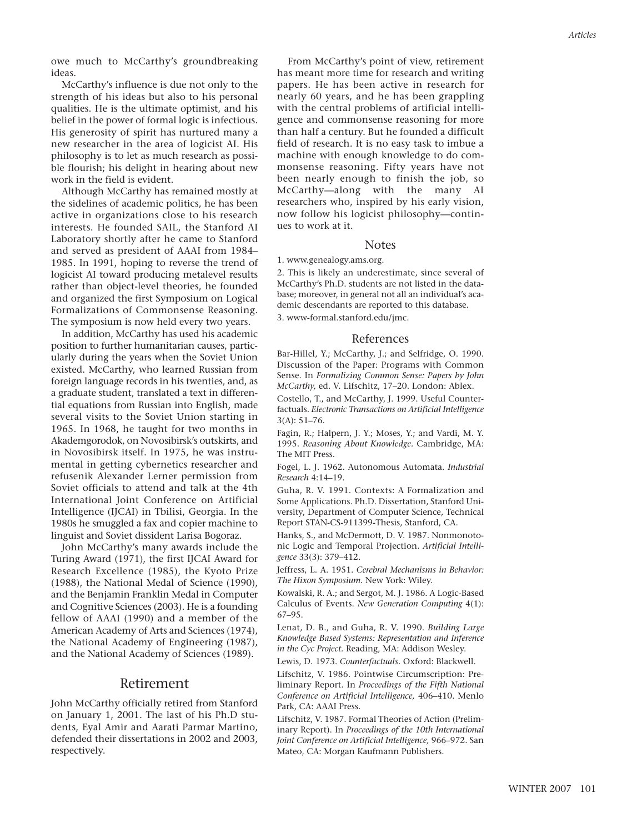owe much to McCarthy's groundbreaking ideas.

McCarthy's influence is due not only to the strength of his ideas but also to his personal qualities. He is the ultimate optimist, and his belief in the power of formal logic is infectious. His generosity of spirit has nurtured many a new researcher in the area of logicist AI. His philosophy is to let as much research as possible flourish; his delight in hearing about new work in the field is evident.

Although McCarthy has remained mostly at the sidelines of academic politics, he has been active in organizations close to his research interests. He founded SAIL, the Stanford AI Laboratory shortly after he came to Stanford and served as president of AAAI from 1984– 1985. In 1991, hoping to reverse the trend of logicist AI toward producing metalevel results rather than object-level theories, he founded and organized the first Symposium on Logical Formalizations of Commonsense Reasoning. The symposium is now held every two years.

In addition, McCarthy has used his academic position to further humanitarian causes, particularly during the years when the Soviet Union existed. McCarthy, who learned Russian from foreign language records in his twenties, and, as a graduate student, translated a text in differential equations from Russian into English, made several visits to the Soviet Union starting in 1965. In 1968, he taught for two months in Akademgorodok, on Novosibirsk's outskirts, and in Novosibirsk itself. In 1975, he was instrumental in getting cybernetics researcher and refusenik Alexander Lerner permission from Soviet officials to attend and talk at the 4th International Joint Conference on Artificial Intelligence (IJCAI) in Tbilisi, Georgia. In the 1980s he smuggled a fax and copier machine to linguist and Soviet dissident Larisa Bogoraz.

John McCarthy's many awards include the Turing Award (1971), the first IJCAI Award for Research Excellence (1985), the Kyoto Prize (1988), the National Medal of Science (1990), and the Benjamin Franklin Medal in Computer and Cognitive Sciences (2003). He is a founding fellow of AAAI (1990) and a member of the American Academy of Arts and Sciences (1974), the National Academy of Engineering (1987), and the National Academy of Sciences (1989).

## Retirement

John McCarthy officially retired from Stanford on January 1, 2001. The last of his Ph.D students, Eyal Amir and Aarati Parmar Martino, defended their dissertations in 2002 and 2003, respectively.

From McCarthy's point of view, retirement has meant more time for research and writing papers. He has been active in research for nearly 60 years, and he has been grappling with the central problems of artificial intelligence and commonsense reasoning for more than half a century. But he founded a difficult field of research. It is no easy task to imbue a machine with enough knowledge to do com-

monsense reasoning. Fifty years have not been nearly enough to finish the job, so McCarthy—along with the many AI researchers who, inspired by his early vision, now follow his logicist philosophy—continues to work at it.

#### **Notes**

1. www.genealogy.ams.org.

2. This is likely an underestimate, since several of McCarthy's Ph.D. students are not listed in the database; moreover, in general not all an individual's academic descendants are reported to this database.

3. www-formal.stanford.edu/jmc.

#### References

Bar-Hillel, Y.; McCarthy, J.; and Selfridge, O. 1990. Discussion of the Paper: Programs with Common Sense. In *Formalizing Common Sense: Papers by John McCarthy,* ed. V. Lifschitz, 17–20. London: Ablex.

Costello, T., and McCarthy, J. 1999. Useful Counterfactuals. *Electronic Transactions on Artificial Intelligence*  $3(A) \cdot 51 - 76$ 

Fagin, R.; Halpern, J. Y.; Moses, Y.; and Vardi, M. Y. 1995. *Reasoning About Knowledge.* Cambridge, MA: The MIT Press.

Fogel, L. J. 1962. Autonomous Automata. *Industrial Research* 4:14–19.

Guha, R. V. 1991. Contexts: A Formalization and Some Applications. Ph.D. Dissertation, Stanford University, Department of Computer Science, Technical Report STAN-CS-911399-Thesis, Stanford, CA.

Hanks, S., and McDermott, D. V. 1987. Nonmonotonic Logic and Temporal Projection. *Artificial Intelligence* 33(3): 379–412.

Jeffress, L. A. 1951. *Cerebral Mechanisms in Behavior: The Hixon Symposium.* New York: Wiley.

Kowalski, R. A.; and Sergot, M. J. 1986. A Logic-Based Calculus of Events. *New Generation Computing* 4(1): 67–95.

Lenat, D. B., and Guha, R. V. 1990. *Building Large Knowledge Based Systems: Representation and Inference in the Cyc Project.* Reading, MA: Addison Wesley.

Lewis, D. 1973. *Counterfactuals.* Oxford: Blackwell.

Lifschitz, V. 1986. Pointwise Circumscription: Preliminary Report. In *Proceedings of the Fifth National Conference on Artificial Intelligence,* 406–410. Menlo Park, CA: AAAI Press.

Lifschitz, V. 1987. Formal Theories of Action (Preliminary Report). In *Proceedings of the 10th International Joint Conference on Artificial Intelligence,* 966–972. San Mateo, CA: Morgan Kaufmann Publishers.